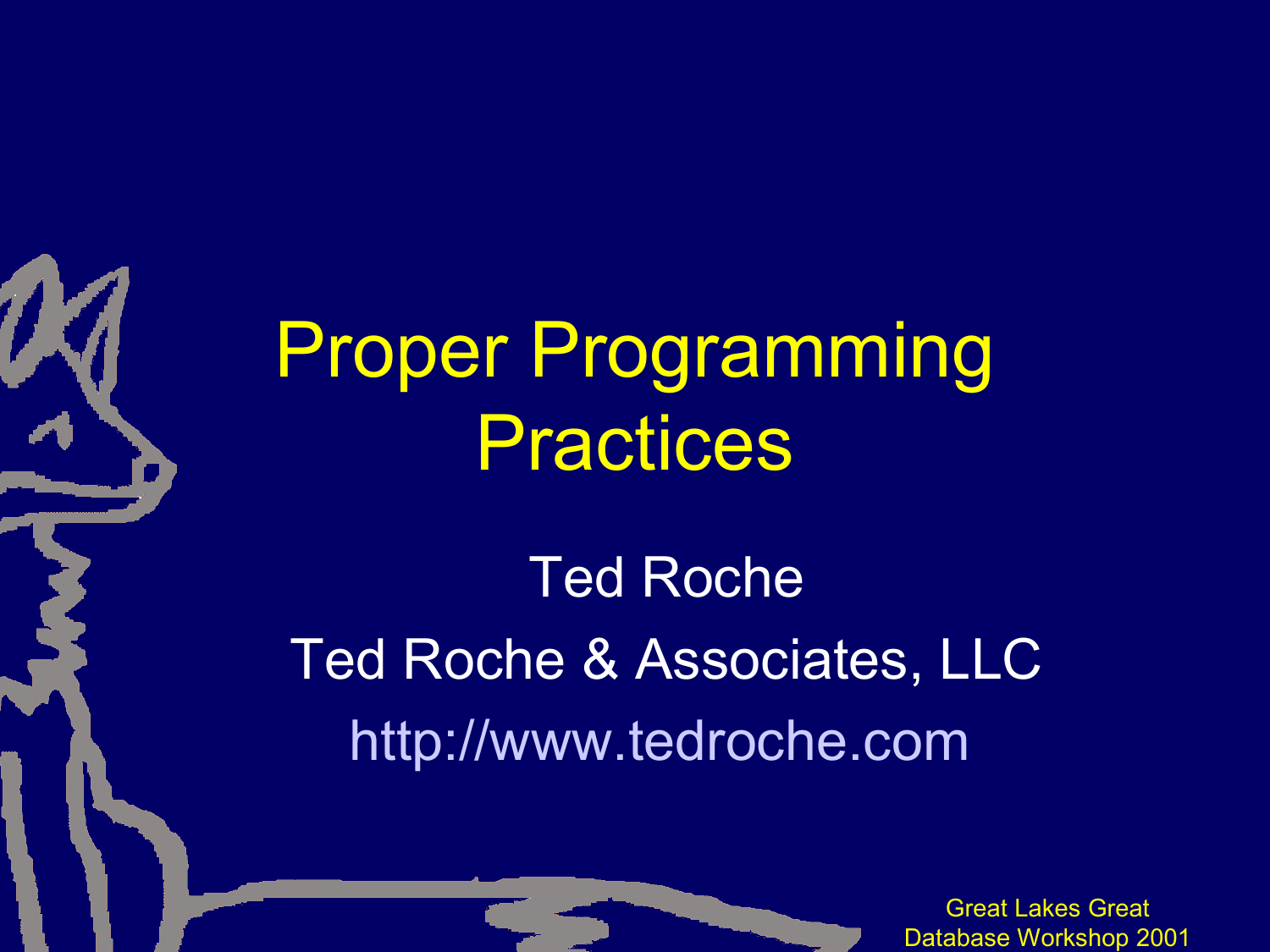Proper Programming Practices

Ted Roche Ted Roche & Associates, LLC http://www.tedroche.com

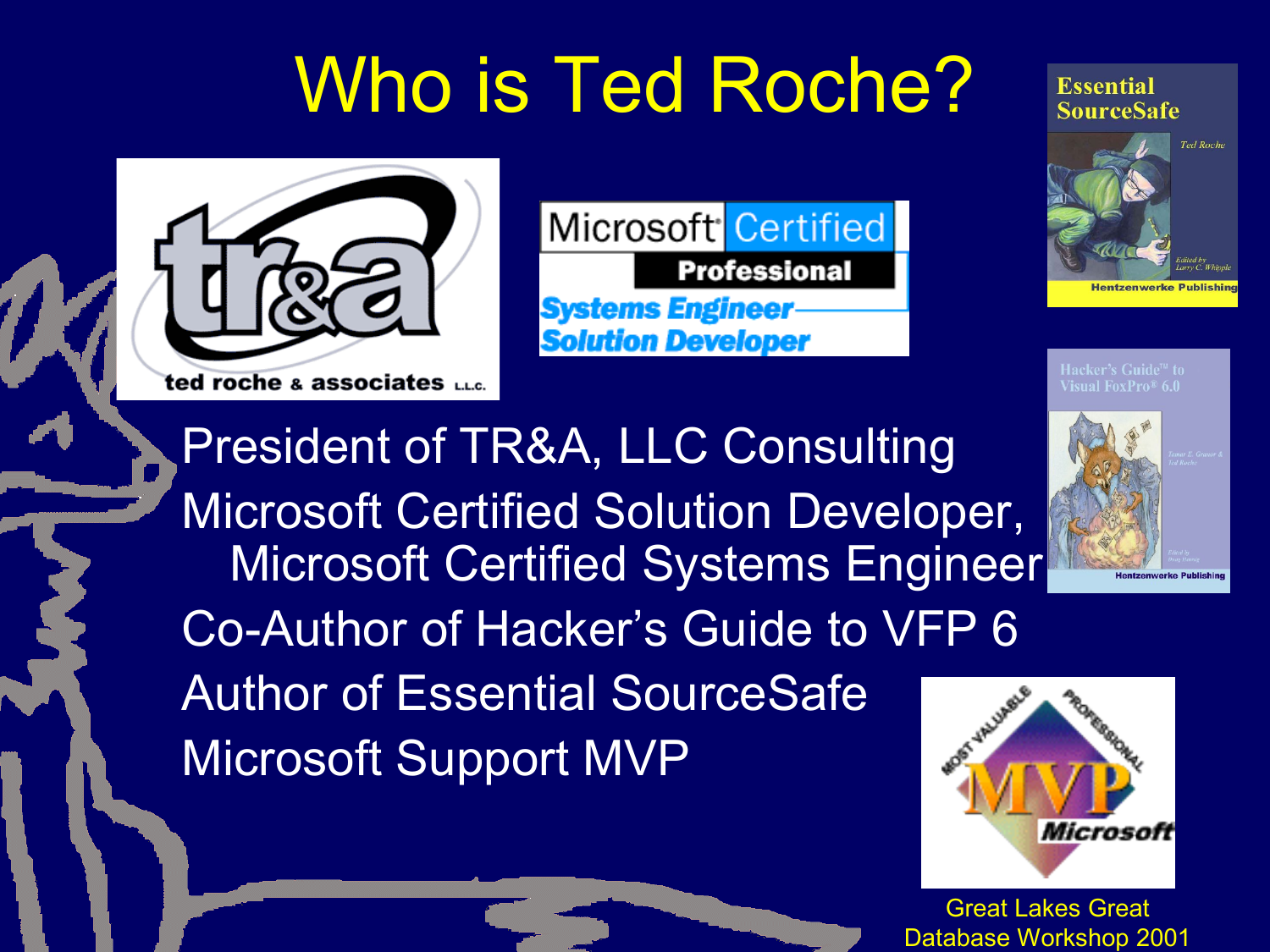# Who is Ted Roche?



Microsoft<sup>-</sup>Certified **Professional Systems Engineer-Solution Developer** 

**Essential SourceSafe** 



isual FoxPro® 6.0

President of TR&A, LLC Consulting Microsoft Certified Solution Developer, Microsoft Certified Systems Engineer Co-Author of Hacker's Guide to VFP 6 Author of Essential SourceSafe Microsoft Support MVP

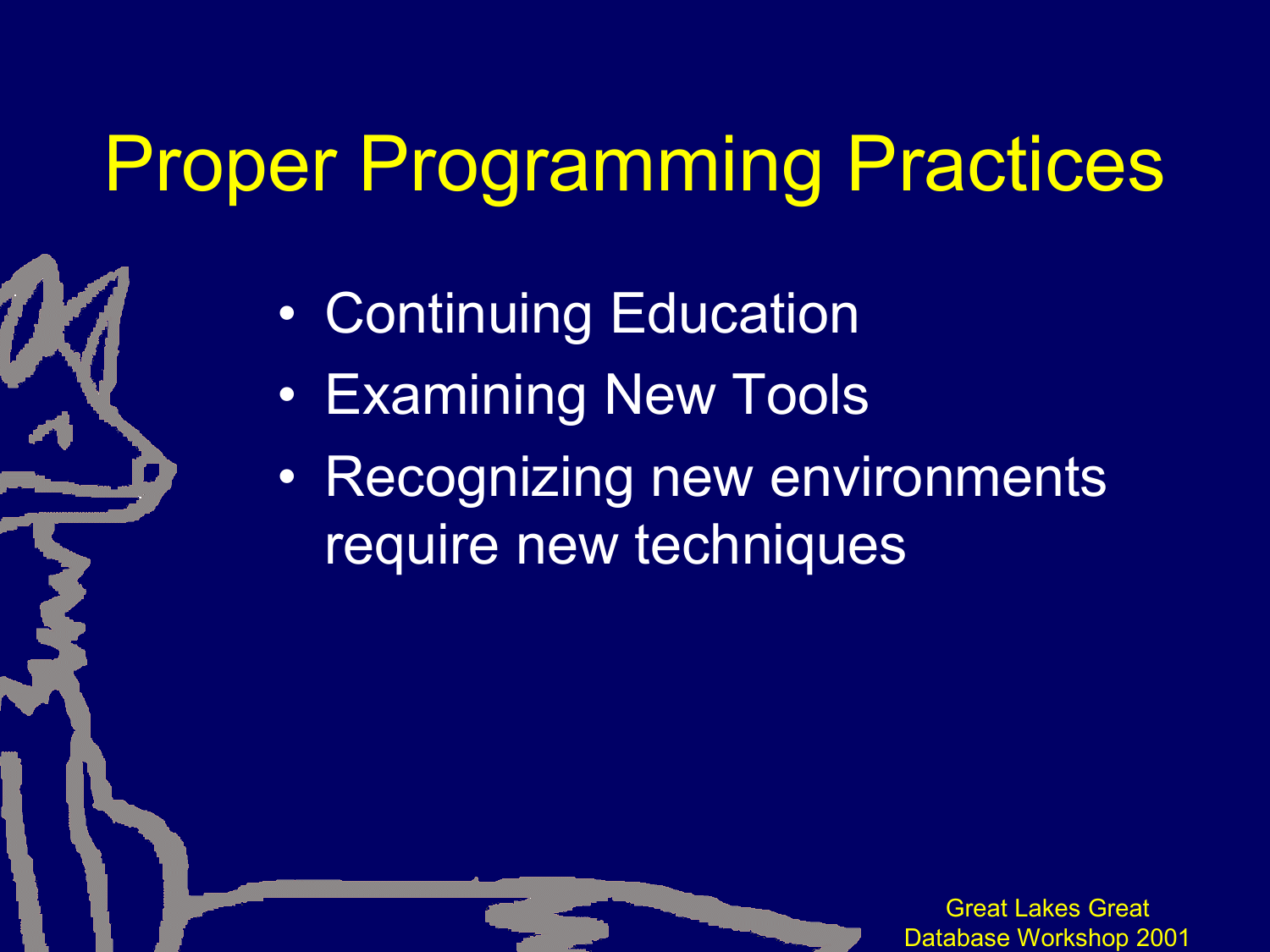### Proper Programming Practices

- Continuing Education
- Examining New Tools
- Recognizing new environments require new techniques

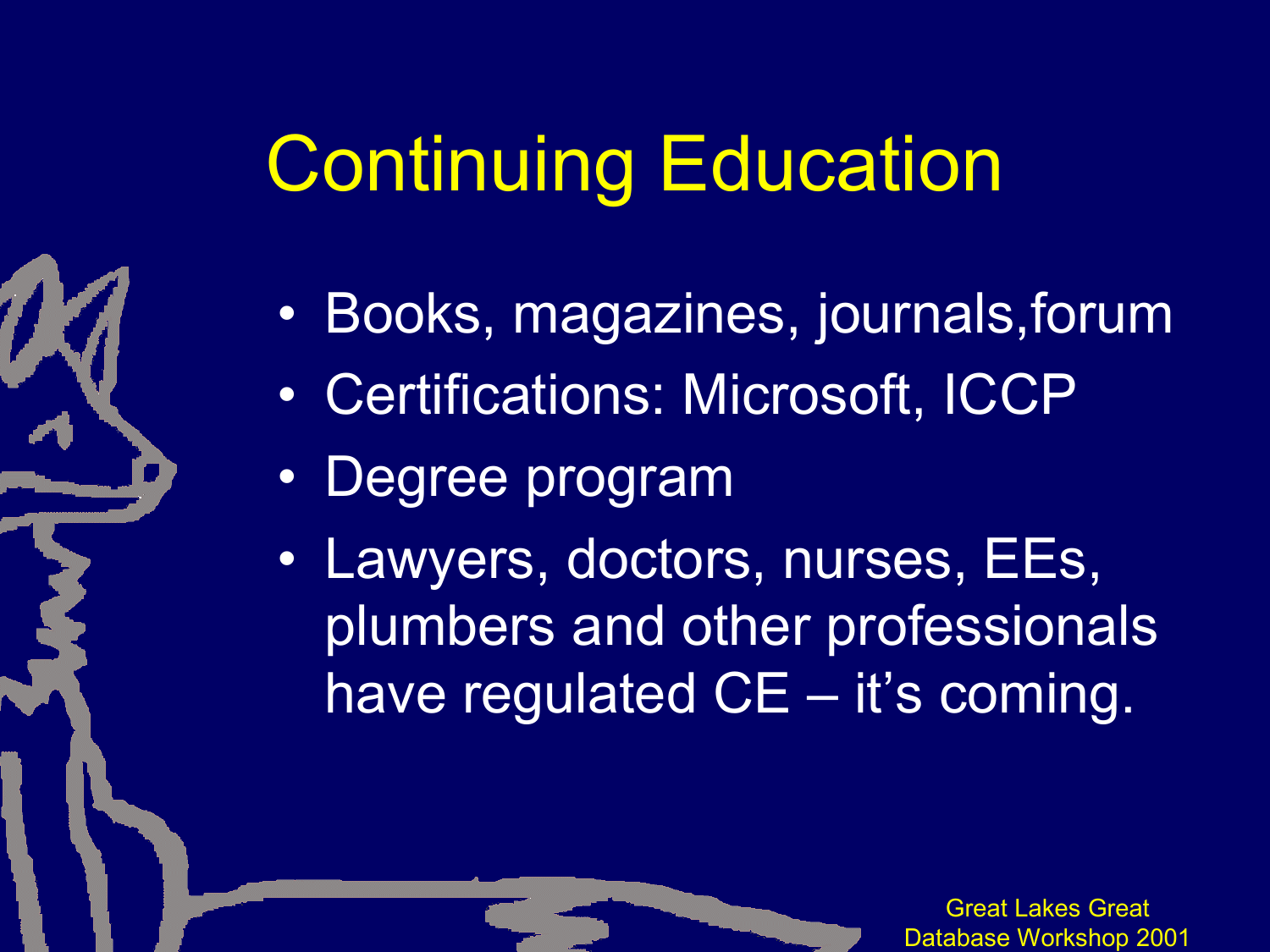# Continuing Education

- Books, magazines, journals,forum
- Certifications: Microsoft, ICCP
- Degree program
- Lawyers, doctors, nurses, EEs, plumbers and other professionals have regulated CE - it's coming.

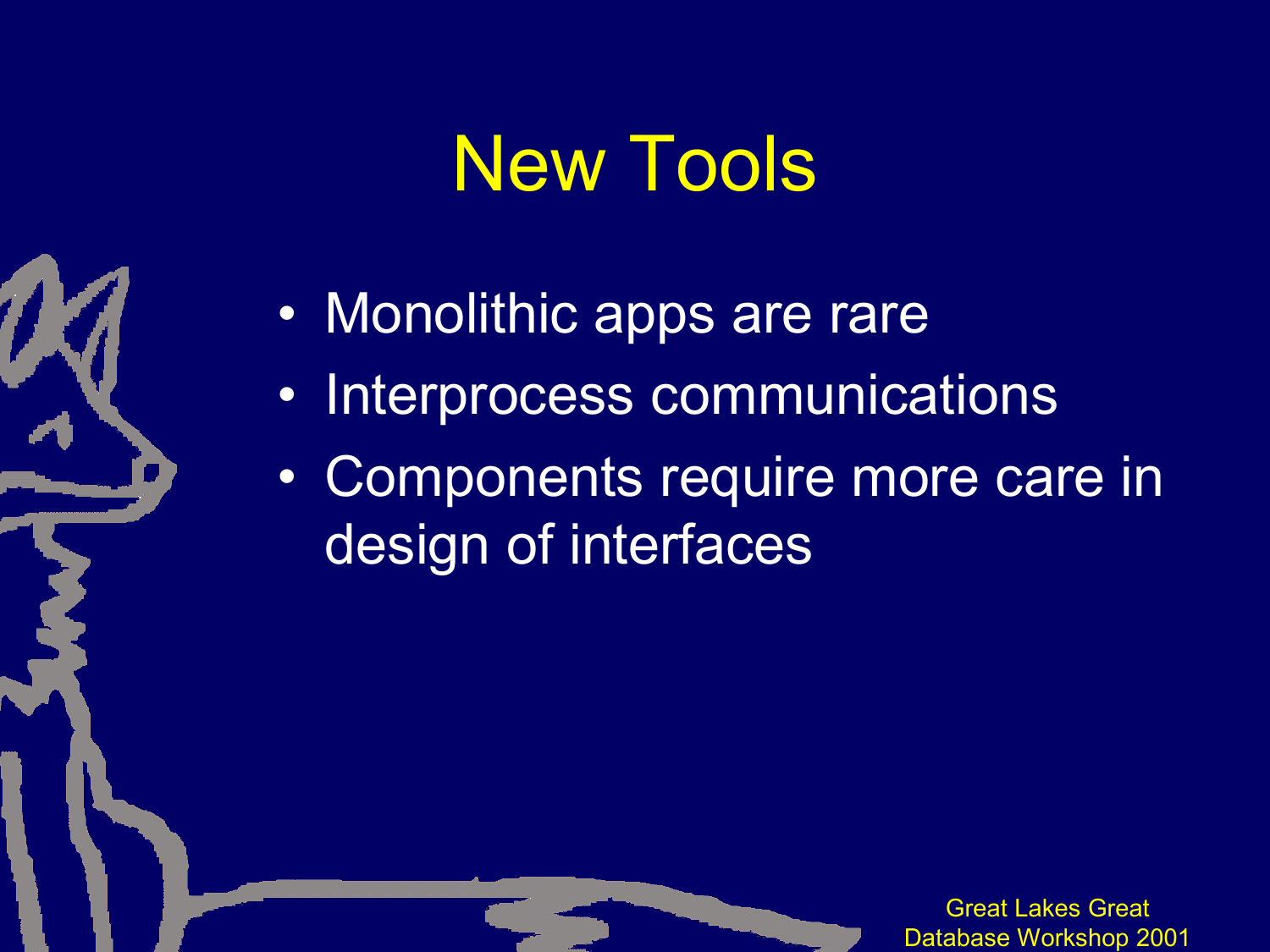### New Tools

- Monolithic apps are rare
- Interprocess communications
- Components require more care in design of interfaces

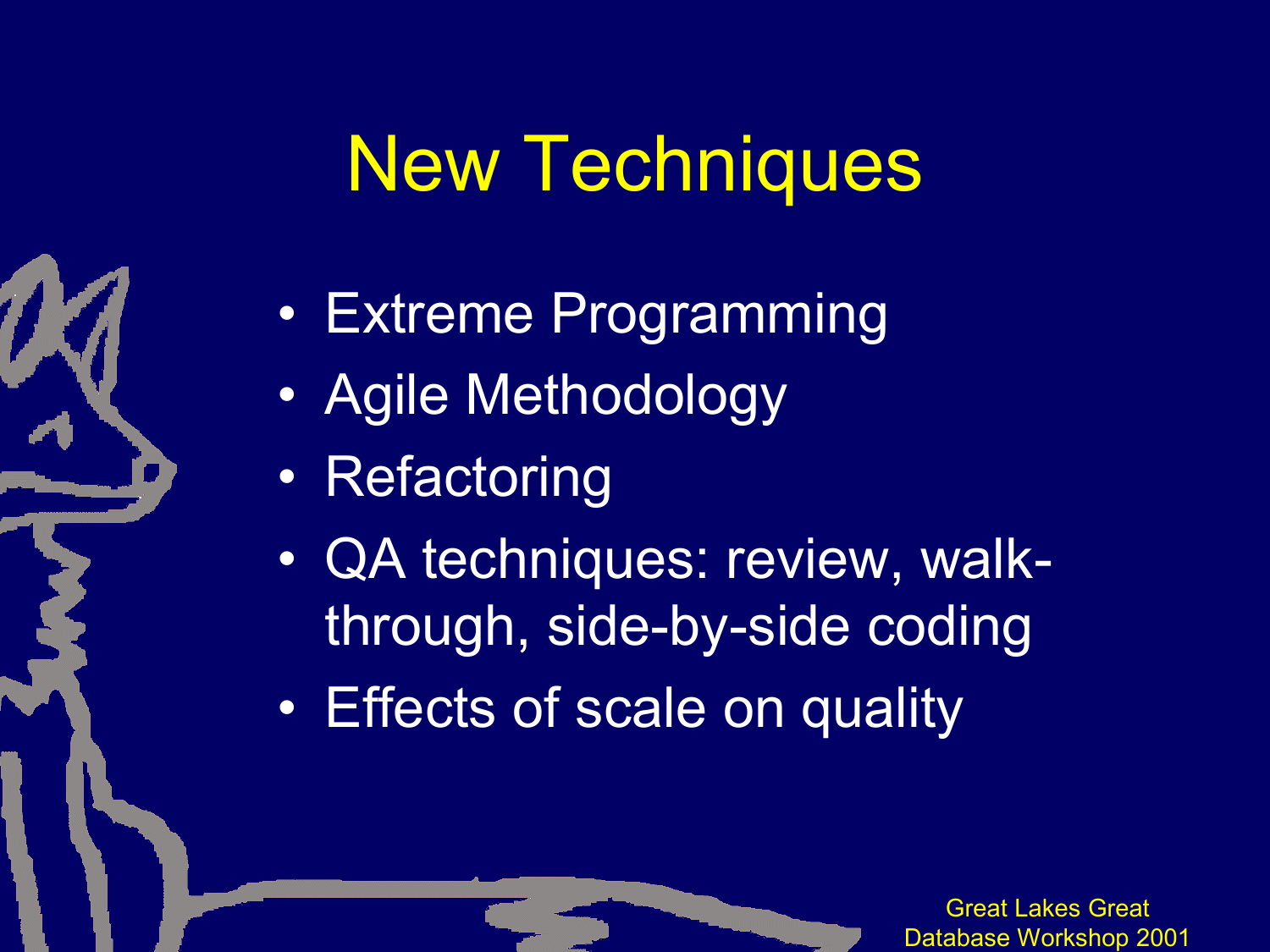#### New Techniques

- Extreme Programming
- Agile Methodology
- Refactoring
- QA techniques: review, walkthrough, side-by-side coding
- Effects of scale on quality

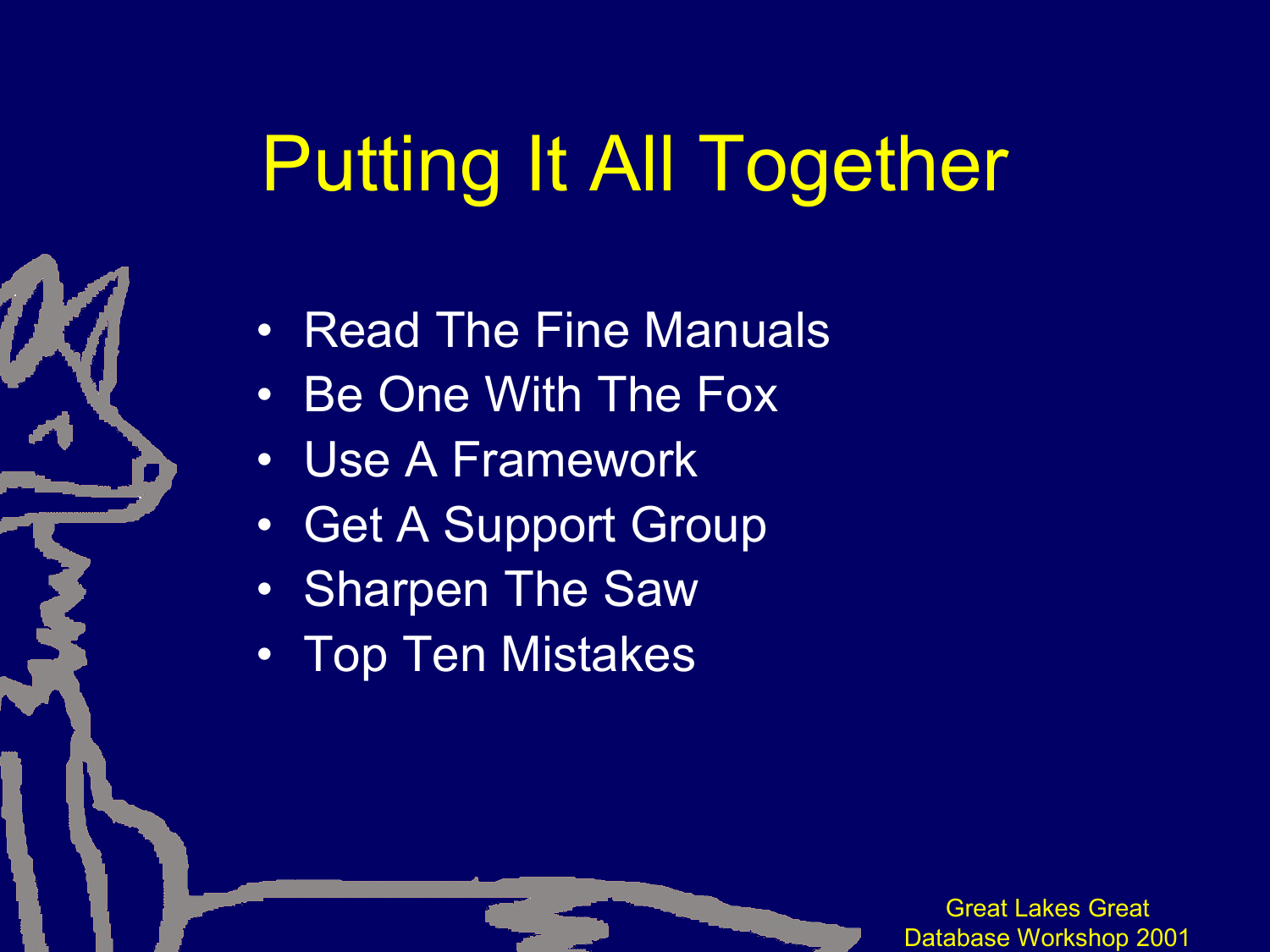# Putting It All Together

- Read The Fine Manuals
- Be One With The Fox
- Use A Framework
- Get A Support Group
- Sharpen The Saw
- Top Ten Mistakes

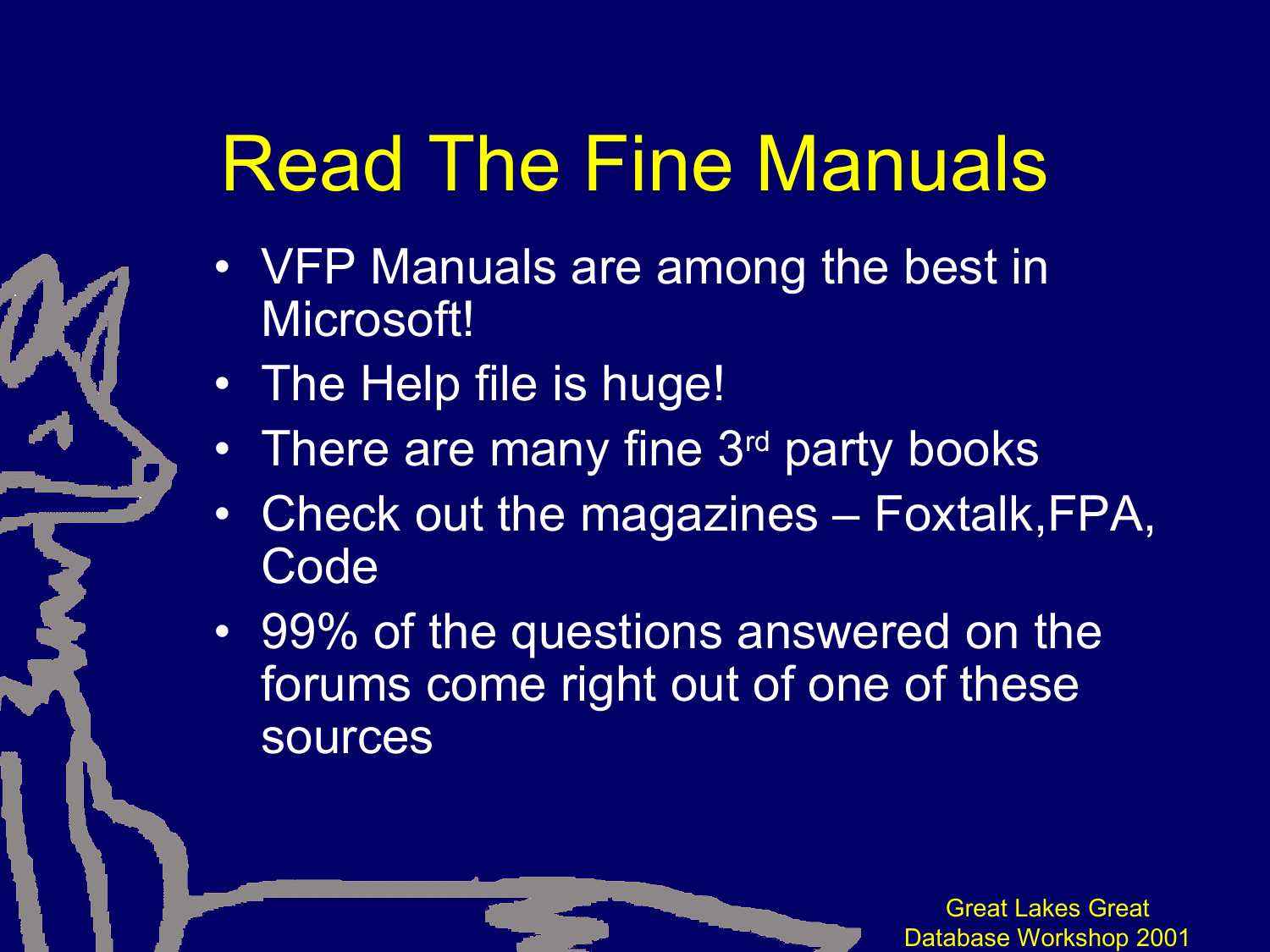# Read The Fine Manuals

- VFP Manuals are among the best in Microsoft!
- The Help file is huge!
- There are many fine 3<sup>rd</sup> party books
- Check out the magazines Foxtalk,FPA, **Code**
- 99% of the questions answered on the forums come right out of one of these sources

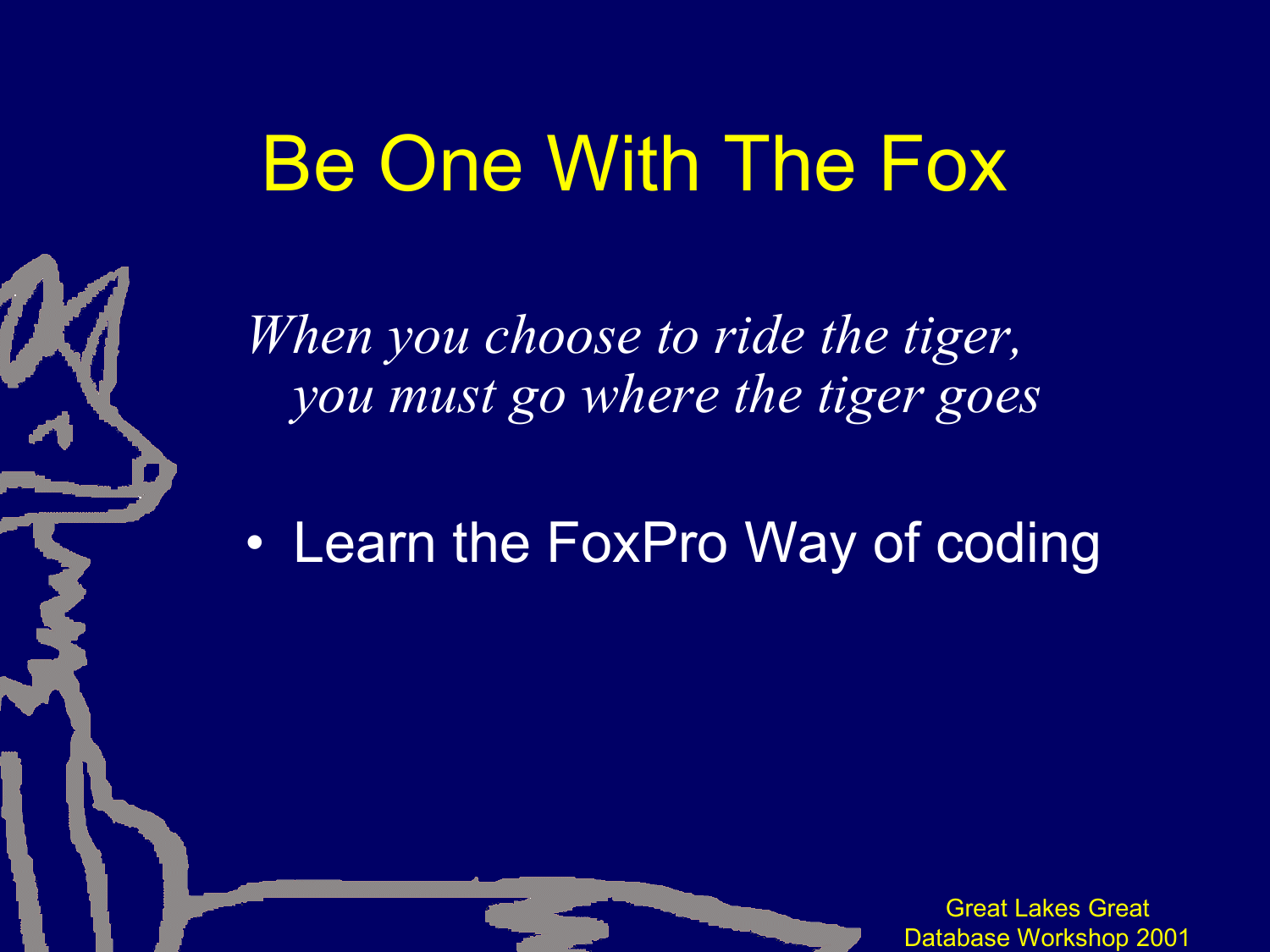### Be One With The Fox

*When you choose to ride the tiger, you must go where the tiger goes*

• Learn the FoxPro Way of coding

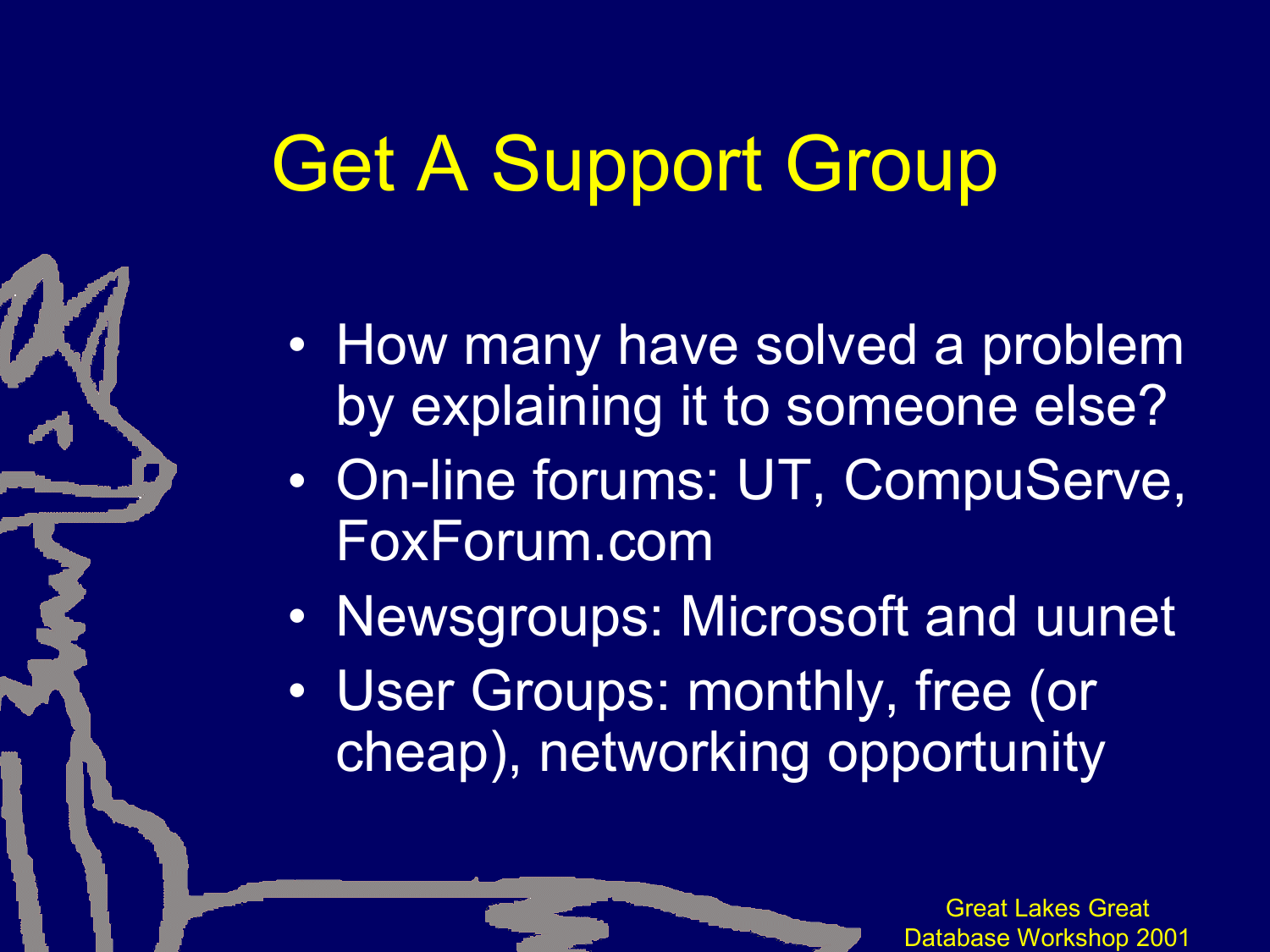# Get A Support Group

- How many have solved a problem by explaining it to someone else?
- On-line forums: UT, CompuServe, FoxForum.com
- Newsgroups: Microsoft and uunet
- User Groups: monthly, free (or cheap), networking opportunity

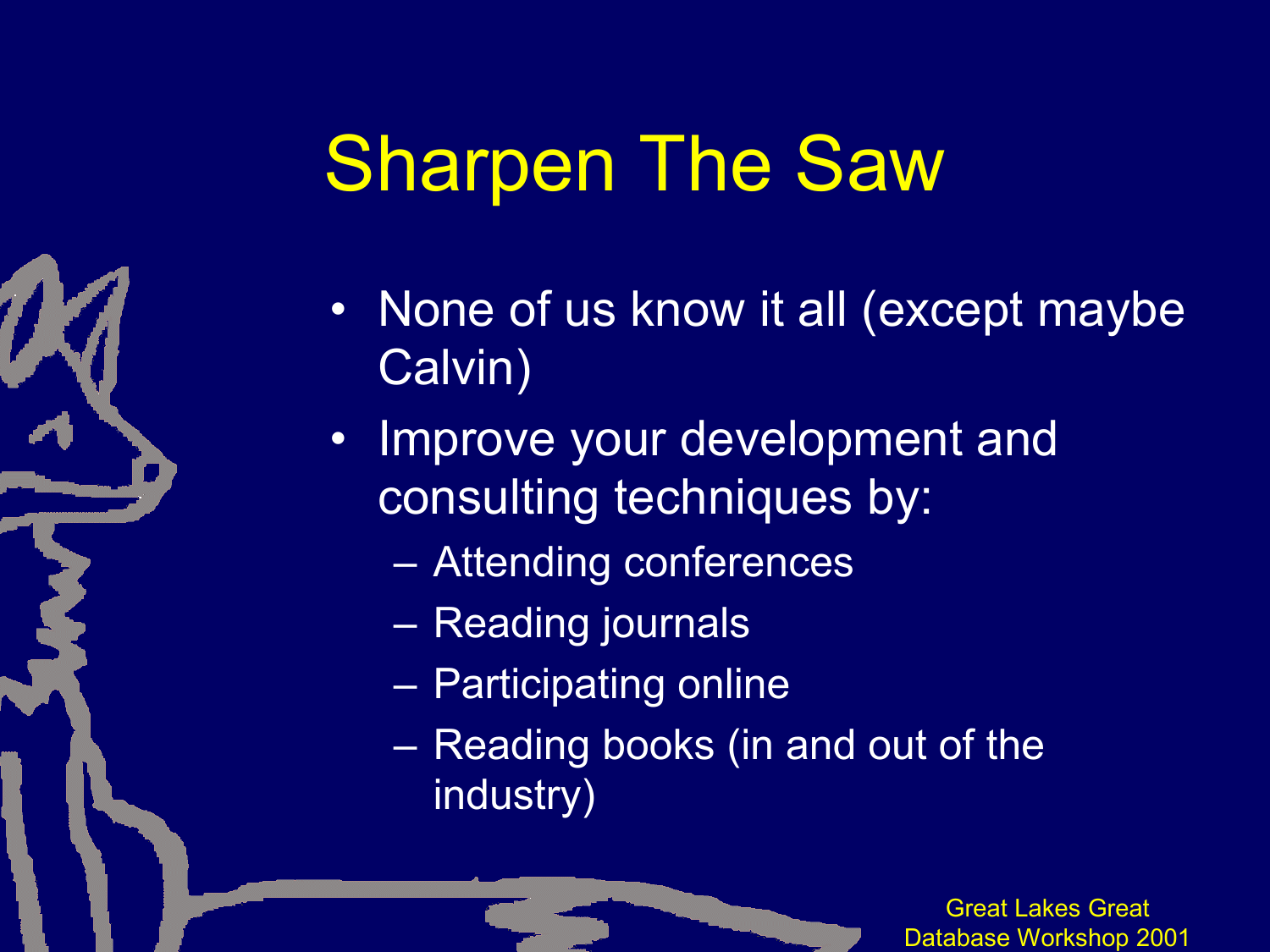### Sharpen The Saw

- None of us know it all (except maybe Calvin)
- Improve your development and consulting techniques by:
	- Attending conferences
	- Reading journals
	- Participating online
	- Reading books (in and out of the industry)

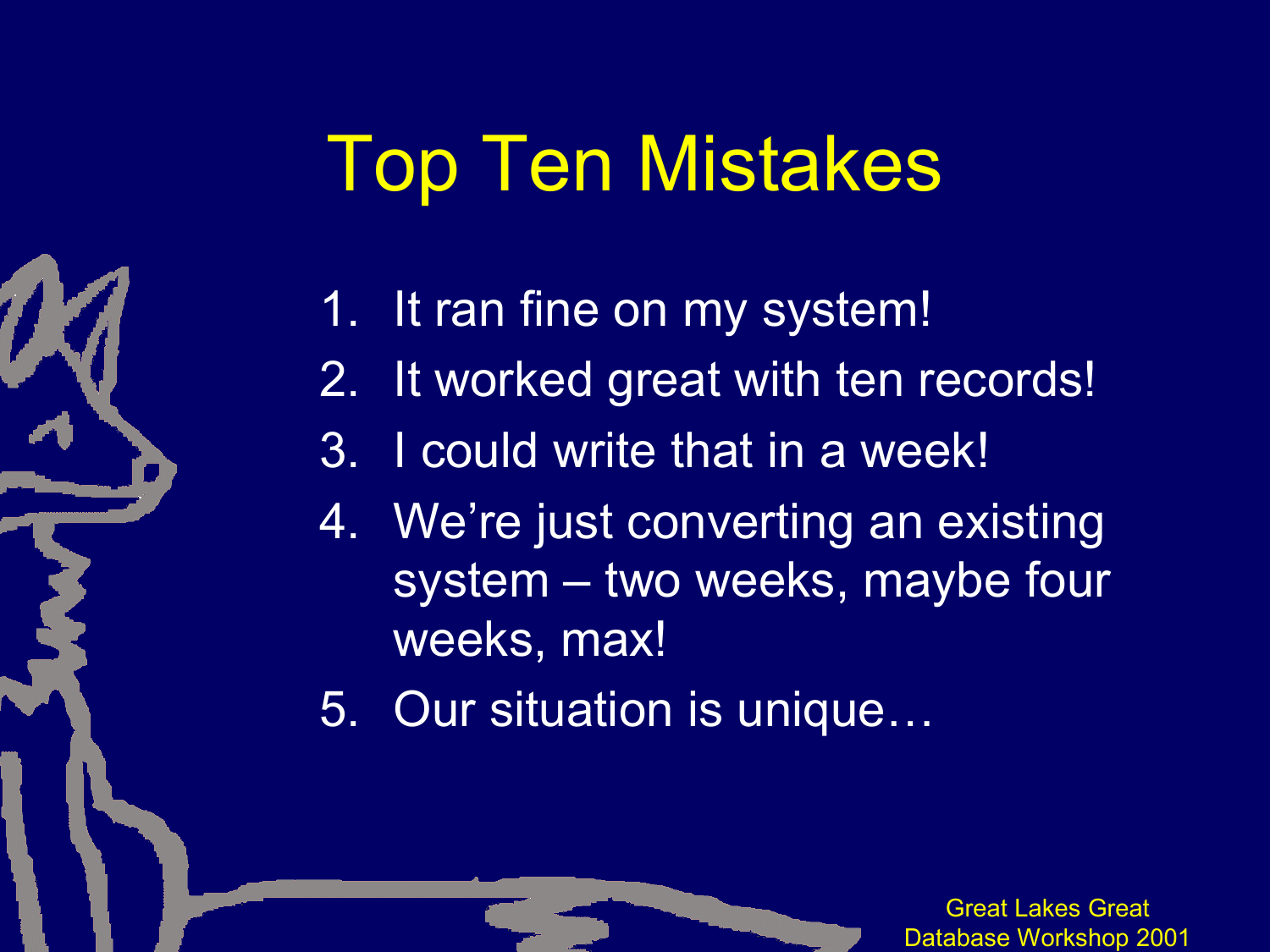### Top Ten Mistakes

- 1. It ran fine on my system!
- 2. It worked great with ten records!
- 3. I could write that in a week!
- 4. We're just converting an existing system – two weeks, maybe four weeks, max!
- 5. Our situation is unique…

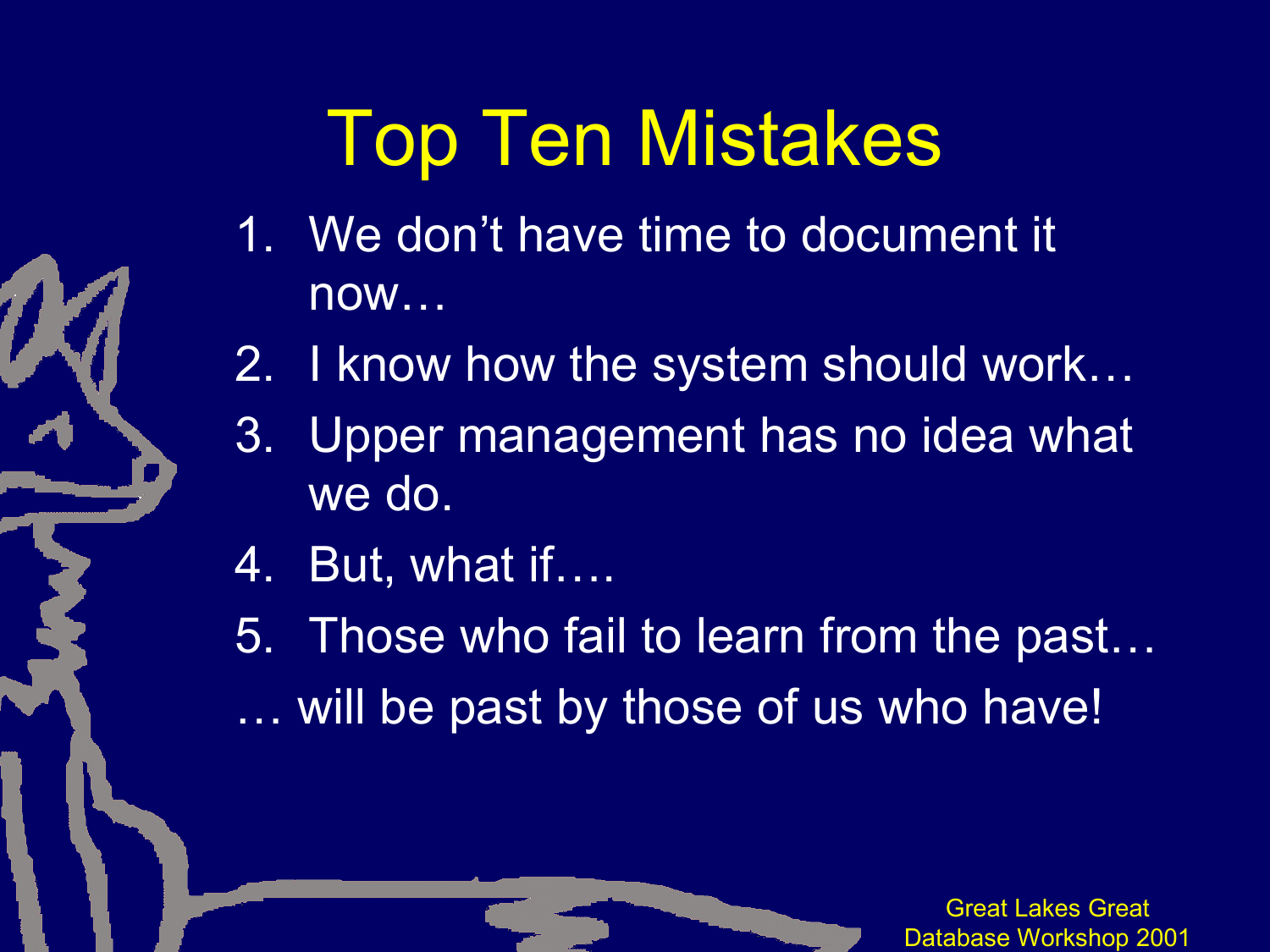# Top Ten Mistakes

- 1. We don't have time to document it now…
- 2. I know how the system should work…
- 3. Upper management has no idea what we do.
- 4. But, what if….
- 5. Those who fail to learn from the past…
- … will be past by those of us who have!

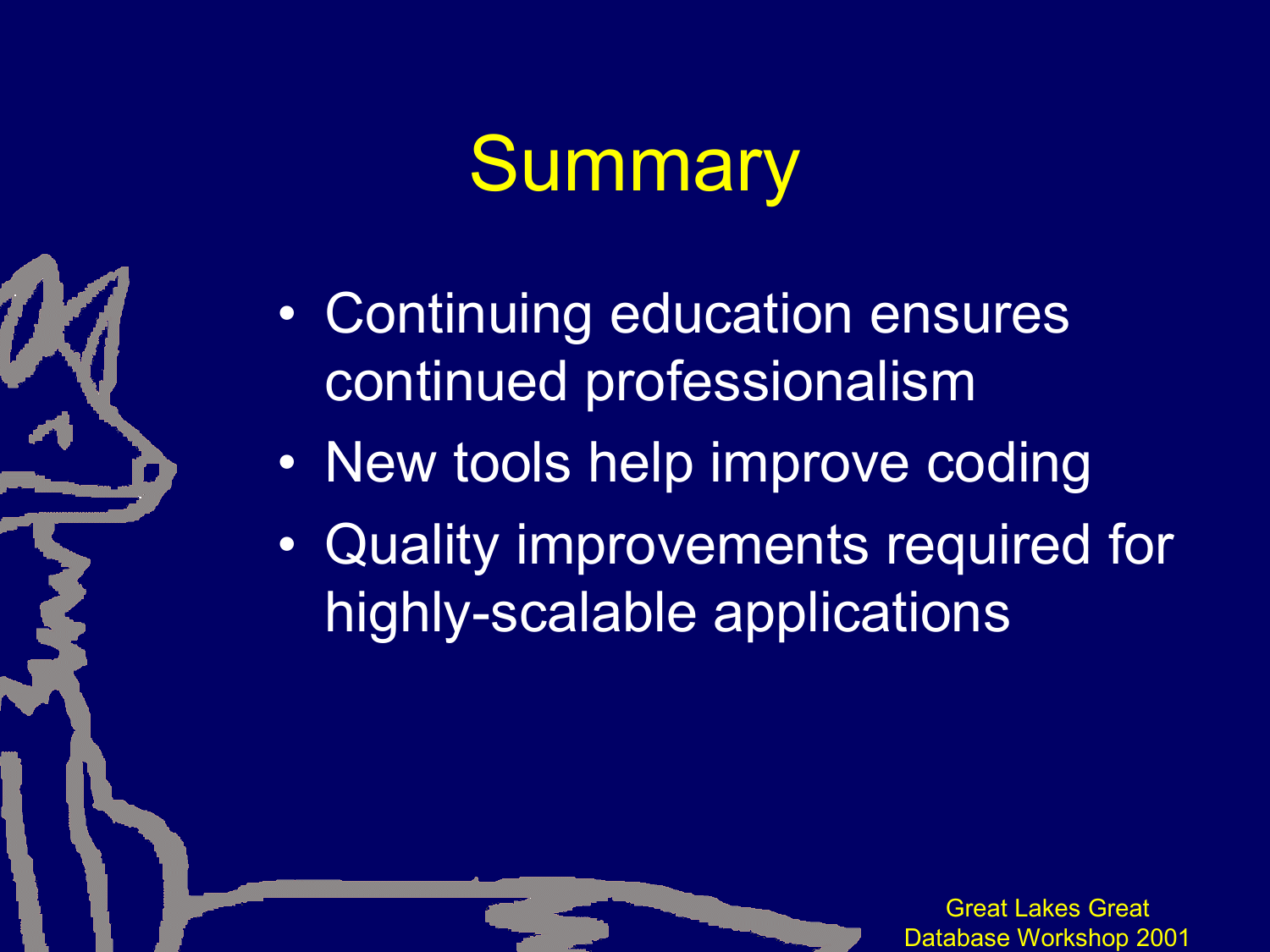# **Summary**

- Continuing education ensures continued professionalism
- New tools help improve coding
- Quality improvements required for highly-scalable applications